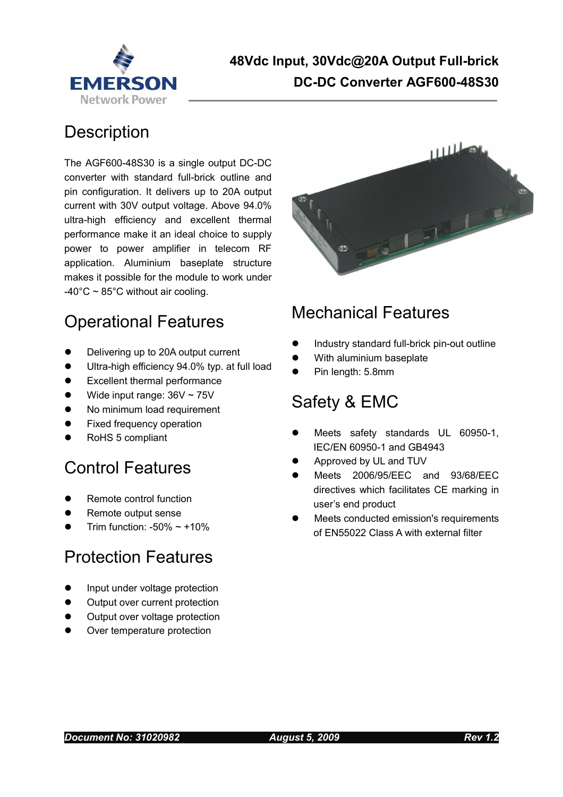

## 48Vdc Input, 30Vdc@20A Output Full-brick EMERSON DC-DC Converter AGF600-48S30

## **Description**

The AGF600-48S30 is a single output DC-DC converter with standard full-brick outline and pin configuration. It delivers up to 20A output current with 30V output voltage. Above 94.0% ultra-high efficiency and excellent thermal performance make it an ideal choice to supply power to power amplifier in telecom RF application. Aluminium baseplate structure makes it possible for the module to work under  $-40^{\circ}$ C ~ 85°C without air cooling.



## Operational Features

- Delivering up to 20A output current
- Ultra-high efficiency 94.0% typ. at full load
- Excellent thermal performance
- Wide input range: 36V ~ 75V
- No minimum load requirement
- Fixed frequency operation
- RoHS 5 compliant

## Control Features

- Remote control function
- Remote output sense
- Trim function:  $-50\% \sim +10\%$

## Protection Features

- Input under voltage protection
- Output over current protection
- Output over voltage protection
- Over temperature protection

## Mechanical Features

- Industry standard full-brick pin-out outline
- With aluminium baseplate
- Pin length: 5.8mm

## Safety & EMC

- Meets safety standards UL 60950-1, IEC/EN 60950-1 and GB4943
- Approved by UL and TUV
- Meets 2006/95/EEC and 93/68/EEC directives which facilitates CE marking in user's end product
- Meets conducted emission's requirements of EN55022 Class A with external filter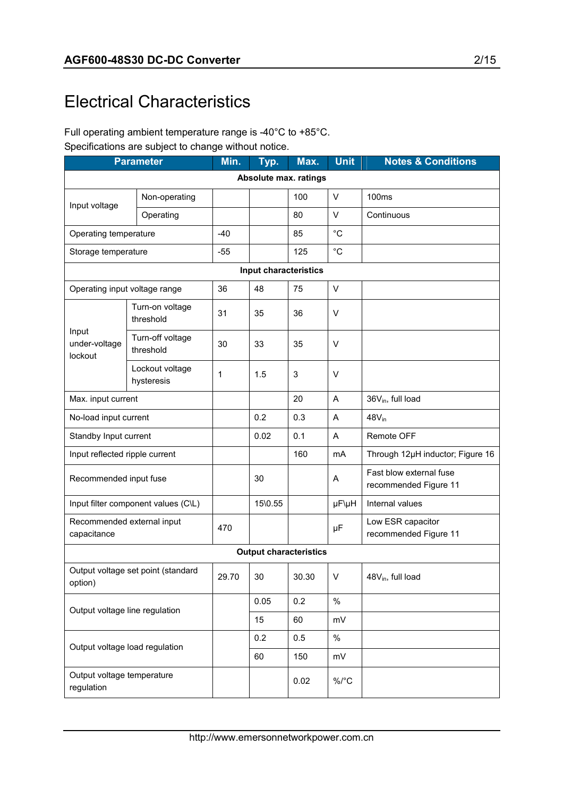## Electrical Characteristics

#### Full operating ambient temperature range is -40°C to +85°C. Specifications are subject to change without notice.

| <b>Parameter</b>                              |                                     | Min.  | Typ.                  | Max.                          | <b>Unit</b> | <b>Notes &amp; Conditions</b>                    |
|-----------------------------------------------|-------------------------------------|-------|-----------------------|-------------------------------|-------------|--------------------------------------------------|
|                                               |                                     |       |                       | Absolute max. ratings         |             |                                                  |
| Input voltage                                 | Non-operating                       |       |                       | 100                           | $\vee$      | 100ms                                            |
|                                               | Operating                           |       |                       | 80                            | V           | Continuous                                       |
| Operating temperature                         |                                     | $-40$ |                       | 85                            | $^{\circ}C$ |                                                  |
| Storage temperature                           |                                     | $-55$ |                       | 125                           | $^{\circ}C$ |                                                  |
|                                               |                                     |       | Input characteristics |                               |             |                                                  |
| Operating input voltage range                 |                                     | 36    | 48                    | 75                            | V           |                                                  |
|                                               | Turn-on voltage<br>threshold        | 31    | 35                    | 36                            | V           |                                                  |
| Input<br>under-voltage<br>lockout             | Turn-off voltage<br>threshold       | 30    | 33                    | 35                            | $\vee$      |                                                  |
|                                               | Lockout voltage<br>hysteresis       | 1     | 1.5                   | 3                             | V           |                                                  |
| Max. input current                            |                                     |       |                       | 20                            | A           | 36V <sub>in</sub> , full load                    |
| No-load input current                         |                                     |       | 0.2                   | 0.3                           | Α           | 48V <sub>in</sub>                                |
| Standby Input current                         |                                     |       | 0.02                  | 0.1                           | A           | Remote OFF                                       |
| Input reflected ripple current                |                                     |       |                       | 160                           | mA          | Through 12µH inductor; Figure 16                 |
| Recommended input fuse                        |                                     |       | 30                    |                               | Α           | Fast blow external fuse<br>recommended Figure 11 |
|                                               | Input filter component values (C\L) |       | 15\0.55               |                               | µF\µH       | Internal values                                  |
| Recommended external input<br>capacitance     |                                     | 470   |                       |                               | μF          | Low ESR capacitor<br>recommended Figure 11       |
|                                               |                                     |       |                       | <b>Output characteristics</b> |             |                                                  |
| Output voltage set point (standard<br>option) |                                     | 29.70 | 30                    | 30.30                         | V           | 48V <sub>in</sub> , full load                    |
|                                               |                                     |       | 0.05                  | 0.2                           | $\%$        |                                                  |
| Output voltage line regulation                |                                     |       | 15                    | 60                            | mV          |                                                  |
| Output voltage load regulation                |                                     |       | 0.2                   | 0.5                           | $\%$        |                                                  |
|                                               |                                     |       | 60                    | 150                           | mV          |                                                  |
| Output voltage temperature<br>regulation      |                                     |       |                       | 0.02                          | $\%$ /°C    |                                                  |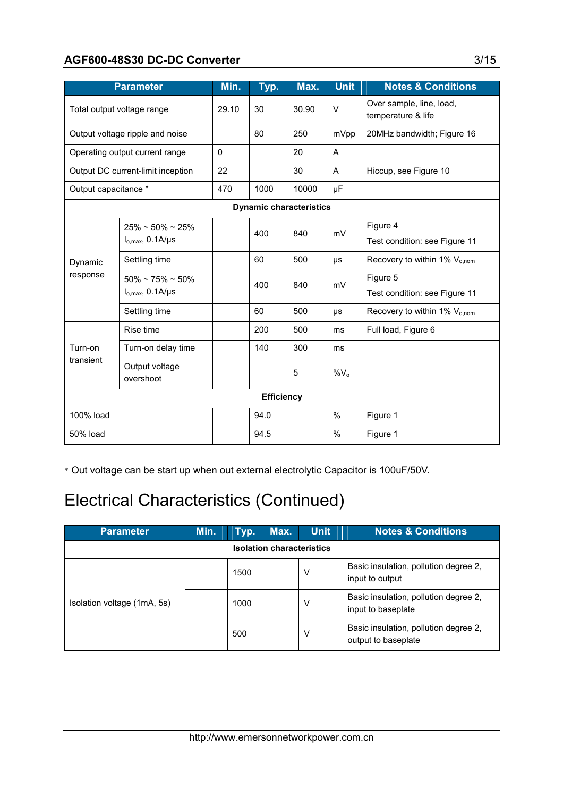#### AGF600-48S30 DC-DC Converter 3/15

|                                 | <b>Parameter</b>                                                | Min.     | Typ.              | Max.                           | <b>Unit</b> | <b>Notes &amp; Conditions</b>                  |
|---------------------------------|-----------------------------------------------------------------|----------|-------------------|--------------------------------|-------------|------------------------------------------------|
|                                 | Total output voltage range                                      |          | 30                | 30.90                          | $\vee$      | Over sample, line, load,<br>temperature & life |
| Output voltage ripple and noise |                                                                 |          | 80                | 250                            | mVpp        | 20MHz bandwidth; Figure 16                     |
|                                 | Operating output current range                                  | $\Omega$ |                   | 20                             | A           |                                                |
|                                 | Output DC current-limit inception                               | 22       |                   | 30                             | A           | Hiccup, see Figure 10                          |
| Output capacitance *            |                                                                 | 470      | 1000              | 10000                          | μF          |                                                |
|                                 |                                                                 |          |                   | <b>Dynamic characteristics</b> |             |                                                |
|                                 | $25\% \approx 50\% \approx 25\%$<br>$I_{o,max}$ , 0.1A/ $\mu$ s |          | 400               | 840                            | mV          | Figure 4<br>Test condition: see Figure 11      |
| Dynamic                         | Settling time                                                   |          | 60                | 500                            | μs          | Recovery to within 1% $V_{o,nom}$              |
| response                        | $50\% \sim 75\% \sim 50\%$<br>$I_{o,max}$ , 0.1A/ $\mu$ s       |          | 400               | 840                            | mV          | Figure 5<br>Test condition: see Figure 11      |
|                                 | Settling time                                                   |          | 60                | 500                            | μs          | Recovery to within 1% $V_{o,nom}$              |
|                                 | Rise time                                                       |          | 200               | 500                            | ms          | Full load, Figure 6                            |
| Turn-on                         | Turn-on delay time                                              |          | 140               | 300                            | ms          |                                                |
| transient                       | Output voltage<br>overshoot                                     |          |                   | 5                              | $%V_0$      |                                                |
|                                 |                                                                 |          | <b>Efficiency</b> |                                |             |                                                |
| 100% load                       |                                                                 |          | 94.0              |                                | %           | Figure 1                                       |
| 50% load                        |                                                                 |          | 94.5              |                                | $\%$        | Figure 1                                       |

\* Out voltage can be start up when out external electrolytic Capacitor is 100uF/50V.

## Electrical Characteristics (Continued)

| <b>Parameter</b>            | Min. | Typ. | Max.                             | <b>Unit</b> | <b>Notes &amp; Conditions</b>                                |
|-----------------------------|------|------|----------------------------------|-------------|--------------------------------------------------------------|
|                             |      |      | <b>Isolation characteristics</b> |             |                                                              |
|                             |      | 1500 |                                  | V           | Basic insulation, pollution degree 2,<br>input to output     |
| Isolation voltage (1mA, 5s) |      | 1000 |                                  | V           | Basic insulation, pollution degree 2,<br>input to baseplate  |
|                             |      | 500  |                                  | V           | Basic insulation, pollution degree 2,<br>output to baseplate |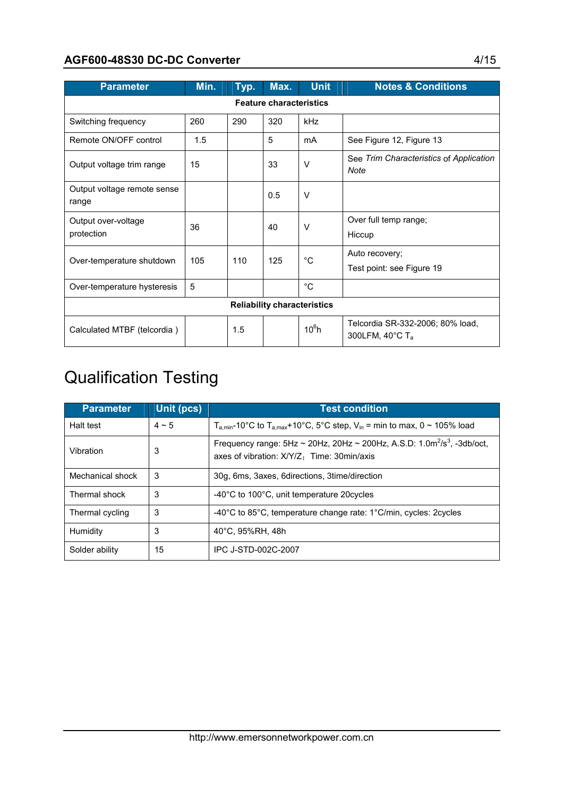#### AGF600-48S30 DC-DC Converter 4/15

| <b>Parameter</b>                     | Min.                               | Typ. | Max.                           | <b>Unit</b> | <b>Notes &amp; Conditions</b>                                              |  |  |
|--------------------------------------|------------------------------------|------|--------------------------------|-------------|----------------------------------------------------------------------------|--|--|
|                                      |                                    |      | <b>Feature characteristics</b> |             |                                                                            |  |  |
| Switching frequency                  | 260                                | 290  | 320                            | kHz         |                                                                            |  |  |
| Remote ON/OFF control                | 1.5                                |      | 5                              | mA          | See Figure 12, Figure 13                                                   |  |  |
| Output voltage trim range            | 15                                 |      | 33                             | $\vee$      | See Trim Characteristics of Application<br>Note                            |  |  |
| Output voltage remote sense<br>range |                                    |      | 0.5                            | $\vee$      |                                                                            |  |  |
| Output over-voltage<br>protection    | 36                                 |      | 40                             | $\vee$      | Over full temp range;<br>Hiccup                                            |  |  |
| Over-temperature shutdown            | 105                                | 110  | 125                            | $^{\circ}C$ | Auto recovery;<br>Test point: see Figure 19                                |  |  |
| Over-temperature hysteresis          | 5                                  |      |                                | $^{\circ}C$ |                                                                            |  |  |
|                                      | <b>Reliability characteristics</b> |      |                                |             |                                                                            |  |  |
| Calculated MTBF (telcordia)          |                                    | 1.5  |                                | $10^6$ h    | Telcordia SR-332-2006; 80% load,<br>300LFM, 40 $^{\circ}$ C T <sub>a</sub> |  |  |

## Qualification Testing

| <b>Parameter</b> | Unit (pcs) | <b>Test condition</b>                                                                                                                   |
|------------------|------------|-----------------------------------------------------------------------------------------------------------------------------------------|
| Halt test        | $4 \sim 5$ | $T_{a,min}$ -10°C to $T_{a,max}$ +10°C, 5°C step, V <sub>in</sub> = min to max, 0 ~ 105% load                                           |
| Vibration        | 3          | Frequency range: $5Hz \sim 20Hz$ , $20Hz \sim 200Hz$ , A.S.D: $1.0m^2/s^3$ , $-3db/oct$ ,<br>axes of vibration: X/Y/Z: Time: 30min/axis |
| Mechanical shock | 3          | 30g, 6ms, 3axes, 6directions, 3time/direction                                                                                           |
| Thermal shock    | 3          | -40°C to 100°C, unit temperature 20 cycles                                                                                              |
| Thermal cycling  | 3          | $-40^{\circ}$ C to 85 $^{\circ}$ C, temperature change rate: 1 $^{\circ}$ C/min, cycles: 2cycles                                        |
| Humidity         | 3          | 40°C, 95%RH, 48h                                                                                                                        |
| Solder ability   | 15         | IPC J-STD-002C-2007                                                                                                                     |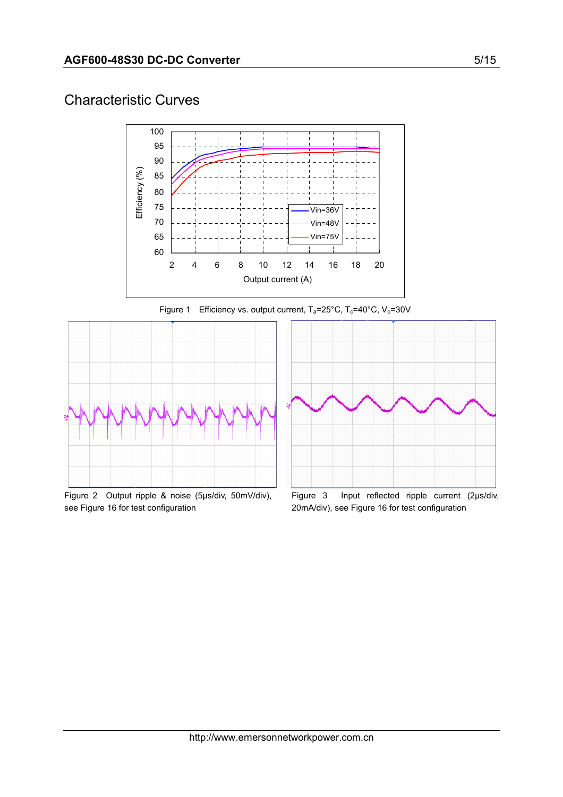#### Characteristic Curves



Figure 1 Efficiency vs. output current,  $T_a = 25^\circ \text{C}$ ,  $T_c = 40^\circ \text{C}$ ,  $V_o = 30 \text{V}$ 



Figure 2 Output ripple & noise (5µs/div, 50mV/div), see Figure 16 for test configuration



Figure 3 Input reflected ripple current (2µs/div, 20mA/div), see Figure 16 for test configuration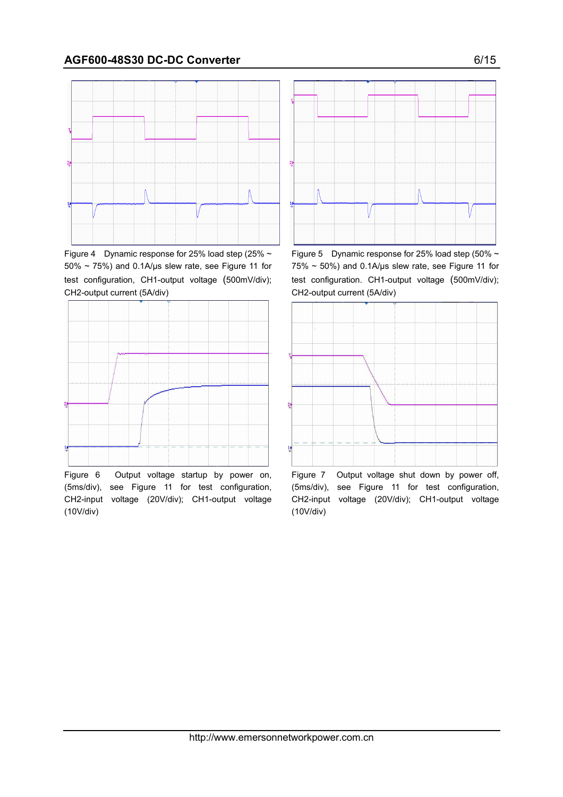

Figure 4 Dynamic response for 25% load step (25%  $\sim$  $50\% \sim 75\%$ ) and 0.1A/µs slew rate, see Figure 11 for test configuration, CH1-output voltage (500mV/div); CH2-output current (5A/div)



Figure 6 Output voltage startup by power on, (5ms/div), see Figure 11 for test configuration, CH2-input voltage (20V/div); CH1-output voltage (10V/div)



Figure 5 Dynamic response for 25% load step (50%  $\sim$  $75\% \sim 50\%$ ) and 0.1A/us slew rate, see Figure 11 for test configuration. CH1-output voltage (500mV/div); CH2-output current (5A/div)



Figure 7 Output voltage shut down by power off, (5ms/div), see Figure 11 for test configuration, CH2-input voltage (20V/div); CH1-output voltage (10V/div)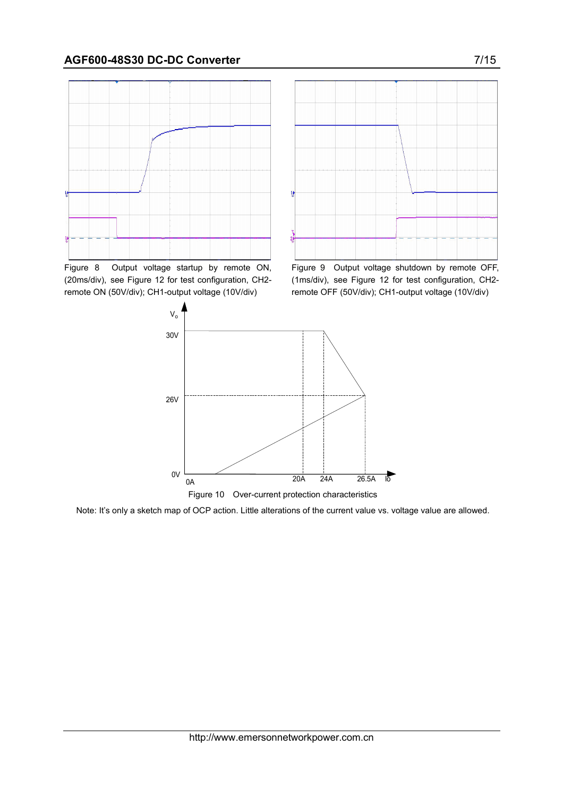

Figure 8 Output voltage startup by remote ON, (20ms/div), see Figure 12 for test configuration, CH2 remote ON (50V/div); CH1-output voltage (10V/div)



Figure 9 Output voltage shutdown by remote OFF, (1ms/div), see Figure 12 for test configuration, CH2 remote OFF (50V/div); CH1-output voltage (10V/div)



Note: It's only a sketch map of OCP action. Little alterations of the current value vs. voltage value are allowed.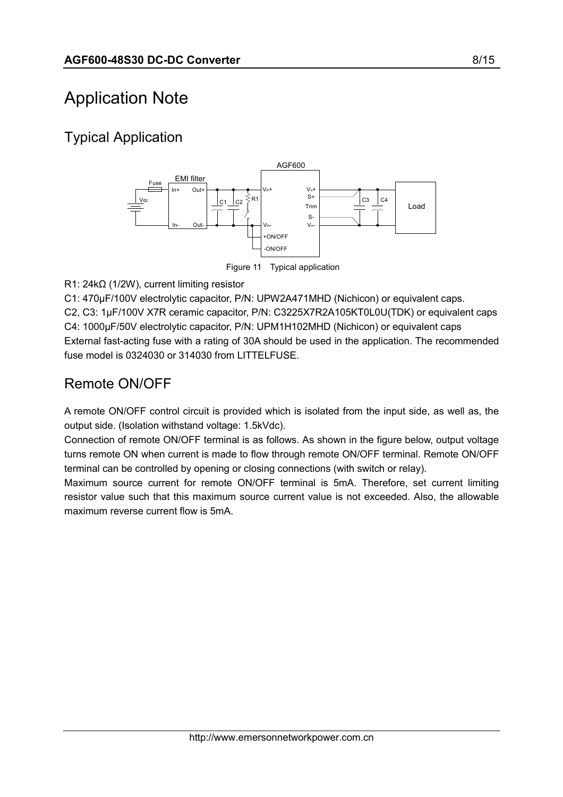## Application Note

## Typical Application



R1: 24kΩ (1/2W), current limiting resistor

C1: 470µF/100V electrolytic capacitor, P/N: UPW2A471MHD (Nichicon) or equivalent caps. C2, C3: 1µF/100V X7R ceramic capacitor, P/N: C3225X7R2A105KT0L0U(TDK) or equivalent caps C4: 1000µF/50V electrolytic capacitor, P/N: UPM1H102MHD (Nichicon) or equivalent caps External fast-acting fuse with a rating of 30A should be used in the application. The recommended fuse model is 0324030 or 314030 from LITTELFUSE.

### Remote ON/OFF

A remote ON/OFF control circuit is provided which is isolated from the input side, as well as, the output side. (Isolation withstand voltage: 1.5kVdc).

Connection of remote ON/OFF terminal is as follows. As shown in the figure below, output voltage turns remote ON when current is made to flow through remote ON/OFF terminal. Remote ON/OFF terminal can be controlled by opening or closing connections (with switch or relay).

Maximum source current for remote ON/OFF terminal is 5mA. Therefore, set current limiting resistor value such that this maximum source current value is not exceeded. Also, the allowable maximum reverse current flow is 5mA.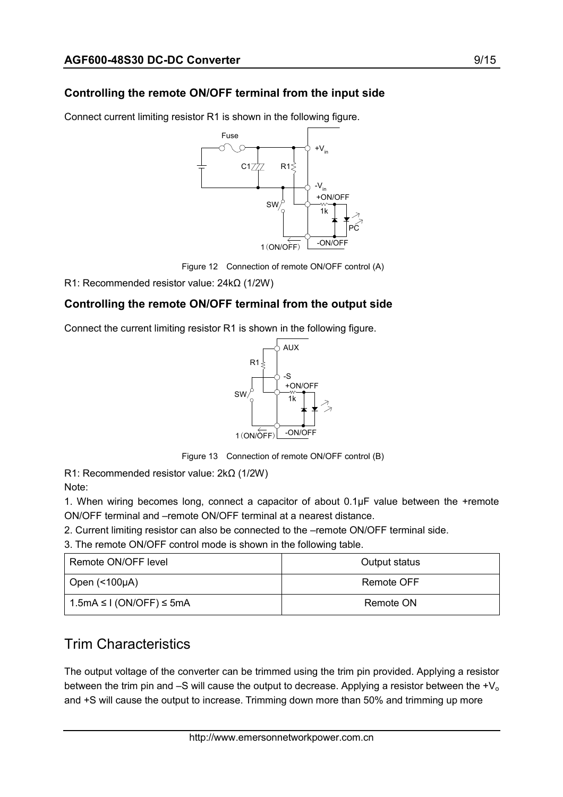#### Controlling the remote ON/OFF terminal from the input side

Connect current limiting resistor R1 is shown in the following figure.



Figure 12 Connection of remote ON/OFF control (A)

R1: Recommended resistor value: 24kΩ (1/2W)

#### Controlling the remote ON/OFF terminal from the output side

Connect the current limiting resistor R1 is shown in the following figure.



Figure 13 Connection of remote ON/OFF control (B)

R1: Recommended resistor value: 2kΩ (1/2W) Note:

1. When wiring becomes long, connect a capacitor of about 0.1µF value between the +remote ON/OFF terminal and –remote ON/OFF terminal at a nearest distance.

2. Current limiting resistor can also be connected to the –remote ON/OFF terminal side.

3. The remote ON/OFF control mode is shown in the following table.

| Remote ON/OFF level              | Output status |
|----------------------------------|---------------|
| Open $($ < 100 $\mu$ A)          | Remote OFF    |
| $1.5mA \leq I (ON/OFF) \leq 5mA$ | Remote ON     |

## Trim Characteristics

The output voltage of the converter can be trimmed using the trim pin provided. Applying a resistor between the trim pin and  $-S$  will cause the output to decrease. Applying a resistor between the  $\mathcal{H}_{\alpha}$ and +S will cause the output to increase. Trimming down more than 50% and trimming up more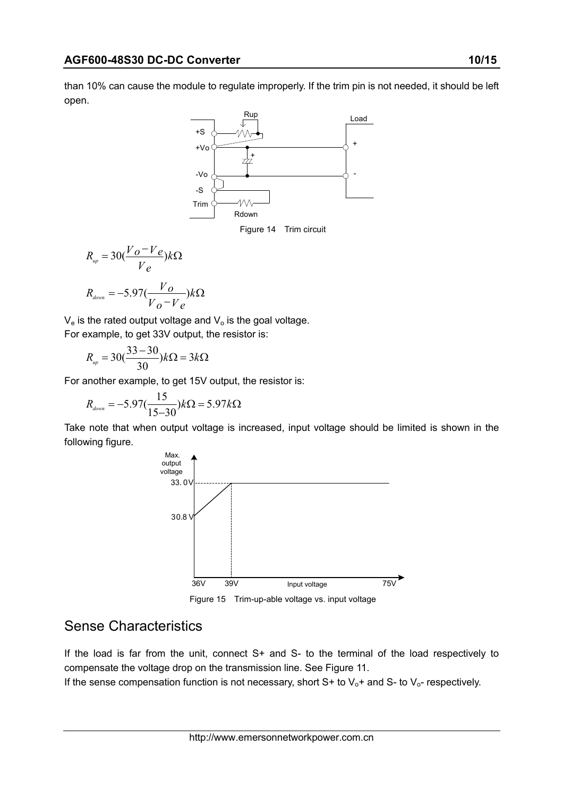than 10% can cause the module to regulate improperly. If the trim pin is not needed, it should be left open.



$$
R_{up} = 30(\frac{V_o - V_e}{V_e})k\Omega
$$

$$
R_{down} = -5.97(\frac{V_o}{V_o - V_e})k\Omega
$$

 $V_e$  is the rated output voltage and  $V_o$  is the goal voltage.

For example, to get 33V output, the resistor is:

$$
R_{up} = 30(\frac{33-30}{30})k\Omega = 3k\Omega
$$

For another example, to get 15V output, the resistor is:

$$
R_{\text{down}} = -5.97(\frac{15}{15-30})k\Omega = 5.97k\Omega
$$

Take note that when output voltage is increased, input voltage should be limited is shown in the following figure.



Figure 15 Trim-up-able voltage vs. input voltage

#### Sense Characteristics

If the load is far from the unit, connect S+ and S- to the terminal of the load respectively to compensate the voltage drop on the transmission line. See Figure 11.

If the sense compensation function is not necessary, short  $S$ + to  $V_0$ + and  $S$ - to  $V_0$ - respectively.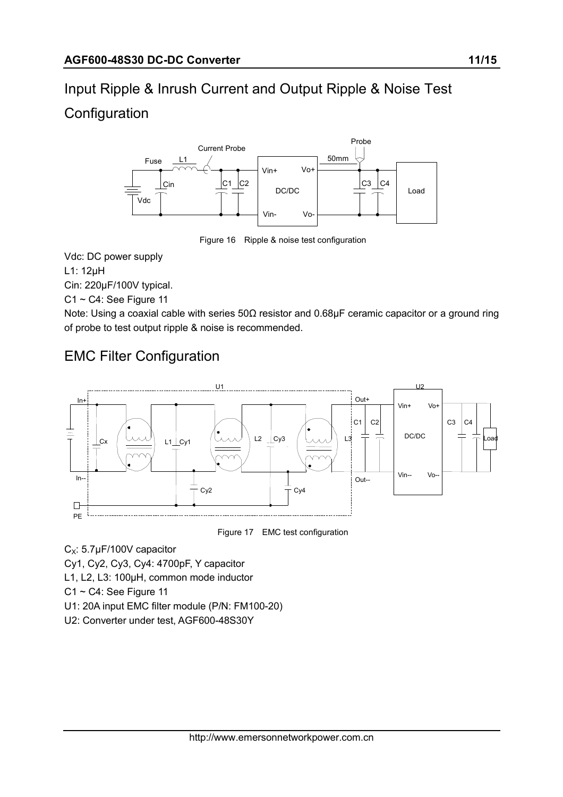# Input Ripple & Inrush Current and Output Ripple & Noise Test

## **Configuration**



Figure 16 Ripple & noise test configuration

Vdc: DC power supply

L1: 12µH

Cin: 220µF/100V typical.

C1 ~ C4: See Figure 11

Note: Using a coaxial cable with series 50Ω resistor and 0.68µF ceramic capacitor or a ground ring of probe to test output ripple & noise is recommended.

## EMC Filter Configuration



Figure 17 EMC test configuration

 $C_x$ : 5.7µF/100V capacitor

Cy1, Cy2, Cy3, Cy4: 4700pF, Y capacitor

L1, L2, L3: 100µH, common mode inductor

 $C1 \sim C4$ : See Figure 11

U1: 20A input EMC filter module (P/N: FM100-20)

U2: Converter under test, AGF600-48S30Y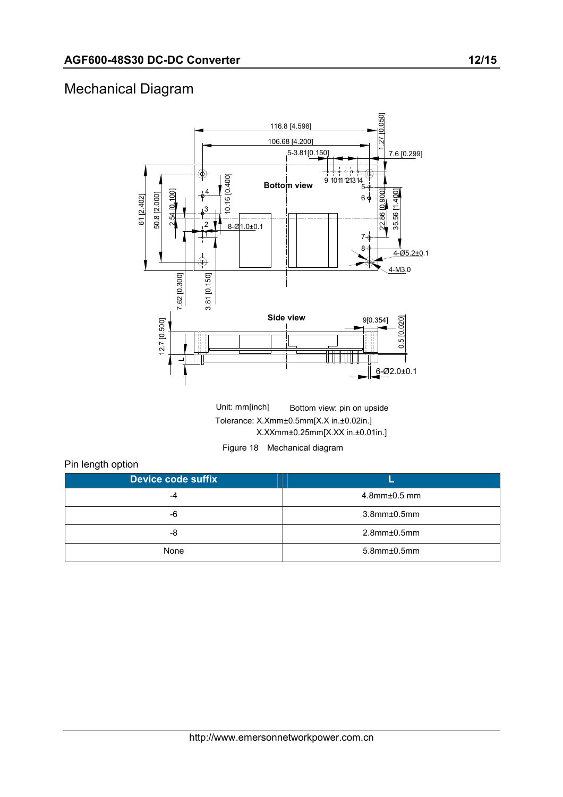### Mechanical Diagram



Unit: mm[inch] Bottom view: pin on upside Tolerance: X.Xmm±0.5mm[X.X in.±0.02in.] X.XXmm±0.25mm[X.XX in.±0.01in.]

Figure 18 Mechanical diagram

#### Pin length option

| <b>Device code suffix</b> |                       |
|---------------------------|-----------------------|
| -4                        | $4.8$ mm $\pm$ 0.5 mm |
| -6                        | $3.8$ mm $\pm 0.5$ mm |
| -8                        | $2.8$ mm $\pm$ 0.5mm  |
| None                      | $5.8$ mm $\pm 0.5$ mm |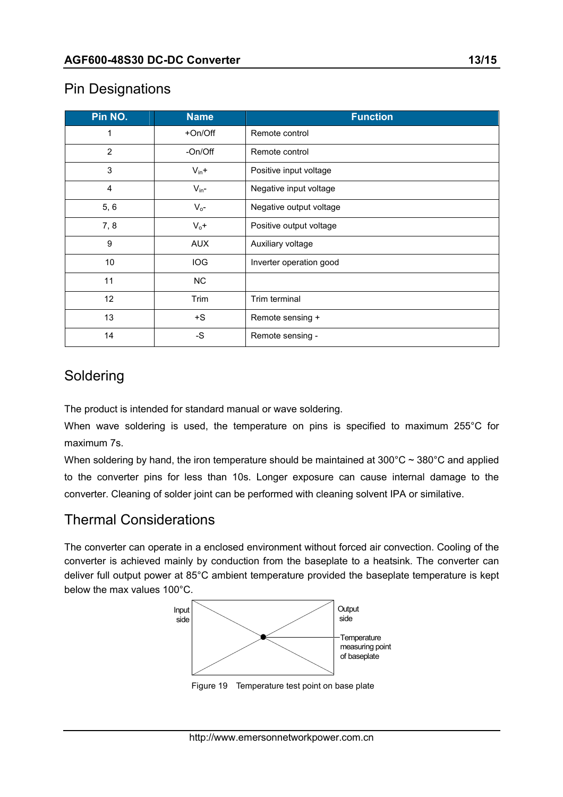### Pin Designations

| Pin NO.        | <b>Name</b> | <b>Function</b>         |  |  |  |  |
|----------------|-------------|-------------------------|--|--|--|--|
| 1              | +On/Off     | Remote control          |  |  |  |  |
| $\overline{2}$ | -On/Off     | Remote control          |  |  |  |  |
| 3              | $V_{in}+$   | Positive input voltage  |  |  |  |  |
| 4              | $V_{in}$ -  | Negative input voltage  |  |  |  |  |
| 5, 6           | $V_{o}$ -   | Negative output voltage |  |  |  |  |
| 7, 8           | $V_0 +$     | Positive output voltage |  |  |  |  |
| 9              | <b>AUX</b>  | Auxiliary voltage       |  |  |  |  |
| 10             | <b>IOG</b>  | Inverter operation good |  |  |  |  |
| 11             | <b>NC</b>   |                         |  |  |  |  |
| 12             | Trim        | Trim terminal           |  |  |  |  |
| 13             | $+S$        | Remote sensing +        |  |  |  |  |
| 14             | -S          | Remote sensing -        |  |  |  |  |

### Soldering

The product is intended for standard manual or wave soldering.

When wave soldering is used, the temperature on pins is specified to maximum 255°C for maximum 7s.

When soldering by hand, the iron temperature should be maintained at  $300^{\circ}$ C  $\sim$   $380^{\circ}$ C and applied to the converter pins for less than 10s. Longer exposure can cause internal damage to the converter. Cleaning of solder joint can be performed with cleaning solvent IPA or similative.

### Thermal Considerations

The converter can operate in a enclosed environment without forced air convection. Cooling of the converter is achieved mainly by conduction from the baseplate to a heatsink. The converter can deliver full output power at 85°C ambient temperature provided the baseplate temperature is kept below the max values 100°C.



Figure 19 Temperature test point on base plate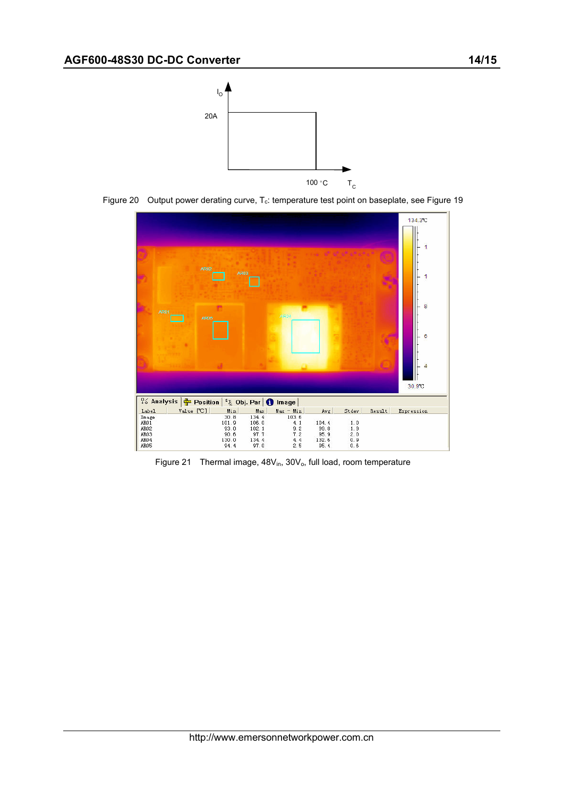





Figure 21 Thermal image,  $48V_{in}$ ,  $30V_{o}$ , full load, room temperature